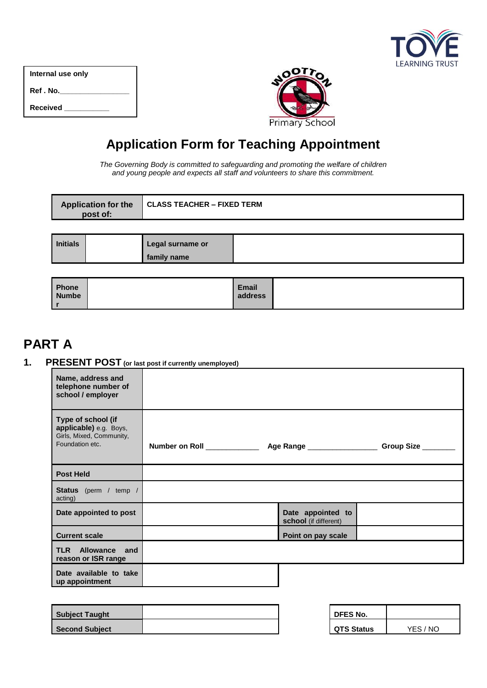| <b>LEARNING TRUST</b> |
|-----------------------|

| Internal use only |
|-------------------|
| Ref.No.           |
| <b>Received</b>   |



# **Application Form for Teaching Appointment**

*The Governing Body is committed to safeguarding and promoting the welfare of children and young people and expects all staff and volunteers to share this commitment.*

|                 | <b>Application for the</b><br>post of: | <b>CLASS TEACHER - FIXED TERM</b> |  |  |  |
|-----------------|----------------------------------------|-----------------------------------|--|--|--|
|                 |                                        |                                   |  |  |  |
| <b>Initials</b> |                                        | Legal surname or                  |  |  |  |
|                 |                                        | family name                       |  |  |  |

| Phone        | <b>Email</b> |  |
|--------------|--------------|--|
| <b>Numbe</b> | address      |  |
|              |              |  |

# **PART A**

## **1. PRESENT POST (or last post if currently unemployed)**

| Name, address and<br>telephone number of<br>school / employer                               |                                            |  |
|---------------------------------------------------------------------------------------------|--------------------------------------------|--|
| Type of school (if<br>applicable) e.g. Boys,<br>Girls, Mixed, Community,<br>Foundation etc. |                                            |  |
| <b>Post Held</b>                                                                            |                                            |  |
| Status (perm / temp /<br>acting)                                                            |                                            |  |
| Date appointed to post                                                                      | Date appointed to<br>school (if different) |  |
| <b>Current scale</b>                                                                        | Point on pay scale                         |  |
| <b>TLR</b> Allowance<br>and<br>reason or ISR range                                          |                                            |  |
| Date available to take<br>up appointment                                                    |                                            |  |

| <b>Subject Taught</b> |  | <b>DFES No.</b>   |          |
|-----------------------|--|-------------------|----------|
| <b>Second Subject</b> |  | <b>QTS Status</b> | YES / NO |

| DFES No.          |          |
|-------------------|----------|
| <b>QTS Status</b> | YES / NO |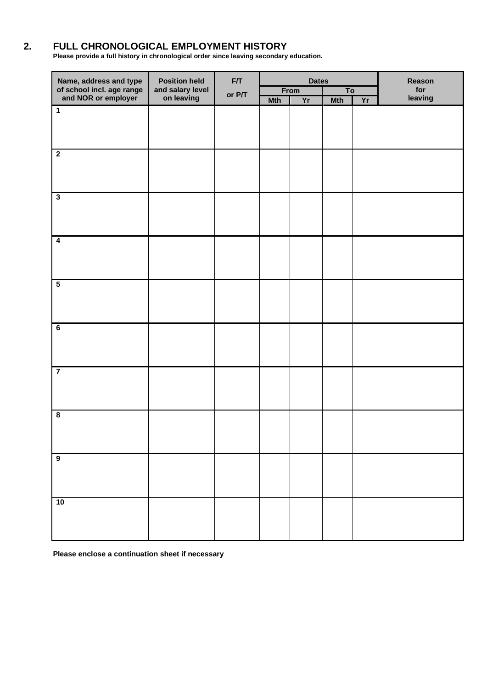## **2. FULL CHRONOLOGICAL EMPLOYMENT HISTORY**

**Please provide a full history in chronological order since leaving secondary education.** 

| Name, address and type<br>of school incl. age range<br>and NOR or employer | <b>Position held</b>           | F/T    | <b>Dates</b> |      |                | Reason |         |
|----------------------------------------------------------------------------|--------------------------------|--------|--------------|------|----------------|--------|---------|
|                                                                            | and salary level<br>on leaving | or P/T |              | From | T <sub>o</sub> |        | for     |
|                                                                            |                                |        | <b>Mth</b>   | Yr   | <b>Mth</b>     | Yr     | leaving |
| $\overline{1}$                                                             |                                |        |              |      |                |        |         |
|                                                                            |                                |        |              |      |                |        |         |
|                                                                            |                                |        |              |      |                |        |         |
|                                                                            |                                |        |              |      |                |        |         |
| $\overline{\mathbf{2}}$                                                    |                                |        |              |      |                |        |         |
|                                                                            |                                |        |              |      |                |        |         |
|                                                                            |                                |        |              |      |                |        |         |
|                                                                            |                                |        |              |      |                |        |         |
|                                                                            |                                |        |              |      |                |        |         |
| $\overline{\mathbf{3}}$                                                    |                                |        |              |      |                |        |         |
|                                                                            |                                |        |              |      |                |        |         |
|                                                                            |                                |        |              |      |                |        |         |
|                                                                            |                                |        |              |      |                |        |         |
| $\overline{4}$                                                             |                                |        |              |      |                |        |         |
|                                                                            |                                |        |              |      |                |        |         |
|                                                                            |                                |        |              |      |                |        |         |
|                                                                            |                                |        |              |      |                |        |         |
|                                                                            |                                |        |              |      |                |        |         |
| $\overline{\mathbf{5}}$                                                    |                                |        |              |      |                |        |         |
|                                                                            |                                |        |              |      |                |        |         |
|                                                                            |                                |        |              |      |                |        |         |
|                                                                            |                                |        |              |      |                |        |         |
|                                                                            |                                |        |              |      |                |        |         |
| $\overline{6}$                                                             |                                |        |              |      |                |        |         |
|                                                                            |                                |        |              |      |                |        |         |
|                                                                            |                                |        |              |      |                |        |         |
|                                                                            |                                |        |              |      |                |        |         |
| $\overline{7}$                                                             |                                |        |              |      |                |        |         |
|                                                                            |                                |        |              |      |                |        |         |
|                                                                            |                                |        |              |      |                |        |         |
|                                                                            |                                |        |              |      |                |        |         |
|                                                                            |                                |        |              |      |                |        |         |
| $\overline{\mathbf{8}}$                                                    |                                |        |              |      |                |        |         |
|                                                                            |                                |        |              |      |                |        |         |
|                                                                            |                                |        |              |      |                |        |         |
|                                                                            |                                |        |              |      |                |        |         |
| $\overline{9}$                                                             |                                |        |              |      |                |        |         |
|                                                                            |                                |        |              |      |                |        |         |
|                                                                            |                                |        |              |      |                |        |         |
|                                                                            |                                |        |              |      |                |        |         |
|                                                                            |                                |        |              |      |                |        |         |
| 10                                                                         |                                |        |              |      |                |        |         |
|                                                                            |                                |        |              |      |                |        |         |
|                                                                            |                                |        |              |      |                |        |         |
|                                                                            |                                |        |              |      |                |        |         |

**Please enclose a continuation sheet if necessary**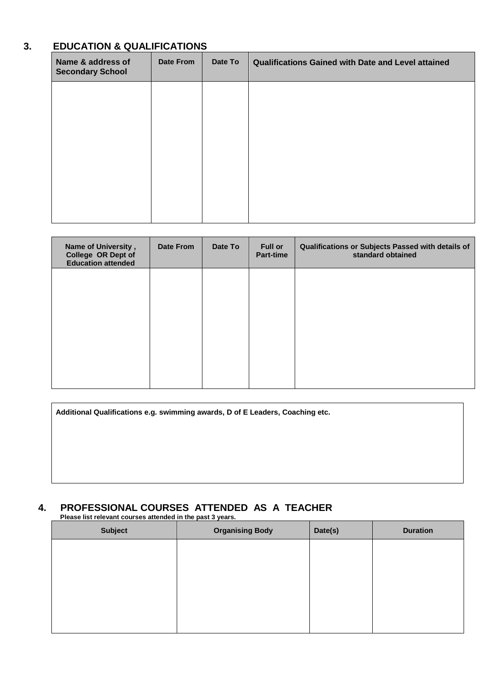## **3. EDUCATION & QUALIFICATIONS**

| Name & address of<br><b>Secondary School</b> | Date From | Date To | Qualifications Gained with Date and Level attained |
|----------------------------------------------|-----------|---------|----------------------------------------------------|
|                                              |           |         |                                                    |
|                                              |           |         |                                                    |
|                                              |           |         |                                                    |
|                                              |           |         |                                                    |
|                                              |           |         |                                                    |

| Name of University,<br>College OR Dept of<br><b>Education attended</b> | Date From | Date To | <b>Full or</b><br>Part-time | Qualifications or Subjects Passed with details of<br>standard obtained |
|------------------------------------------------------------------------|-----------|---------|-----------------------------|------------------------------------------------------------------------|
|                                                                        |           |         |                             |                                                                        |
|                                                                        |           |         |                             |                                                                        |
|                                                                        |           |         |                             |                                                                        |
|                                                                        |           |         |                             |                                                                        |

| Additional Qualifications e.g. swimming awards, D of E Leaders, Coaching etc. |  |  |  |  |  |
|-------------------------------------------------------------------------------|--|--|--|--|--|
|                                                                               |  |  |  |  |  |
|                                                                               |  |  |  |  |  |
|                                                                               |  |  |  |  |  |

# **4. PROFESSIONAL COURSES ATTENDED AS A TEACHER**

**Please list relevant courses attended in the past 3 years.**

| <b>Subject</b> | <b>Organising Body</b> | Date(s) | <b>Duration</b> |
|----------------|------------------------|---------|-----------------|
|                |                        |         |                 |
|                |                        |         |                 |
|                |                        |         |                 |
|                |                        |         |                 |
|                |                        |         |                 |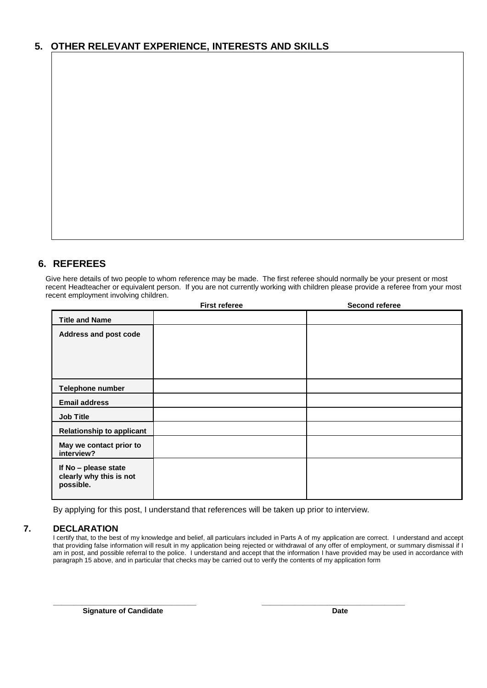## **5. OTHER RELEVANT EXPERIENCE, INTERESTS AND SKILLS**

## **6. REFEREES**

Give here details of two people to whom reference may be made. The first referee should normally be your present or most recent Headteacher or equivalent person. If you are not currently working with children please provide a referee from your most recent employment involving children.

| <b>First referee</b> | Second referee |
|----------------------|----------------|
|                      |                |
|                      |                |
|                      |                |
|                      |                |
|                      |                |
|                      |                |
|                      |                |
|                      |                |
|                      |                |
|                      |                |
|                      |                |
|                      |                |

By applying for this post, I understand that references will be taken up prior to interview.

### **7. DECLARATION**

I certify that, to the best of my knowledge and belief, all particulars included in Parts A of my application are correct. I understand and accept that providing false information will result in my application being rejected or withdrawal of any offer of employment, or summary dismissal if I am in post, and possible referral to the police. I understand and accept that the information I have provided may be used in accordance with paragraph 15 above, and in particular that checks may be carried out to verify the contents of my application form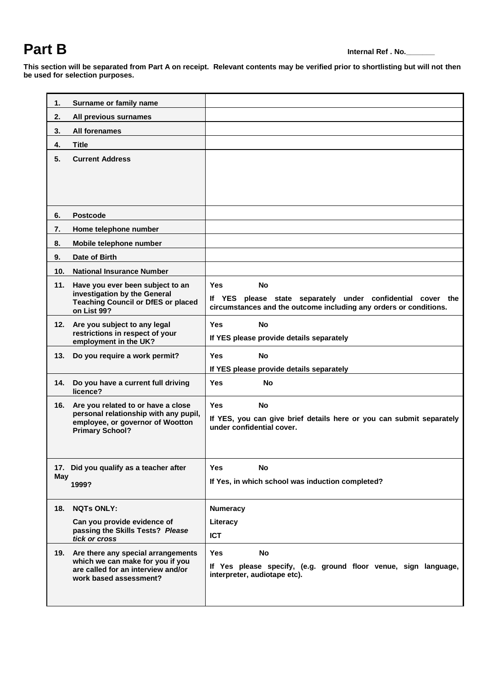# **Part B Internal Ref . No.**

**This section will be separated from Part A on receipt. Relevant contents may be verified prior to shortlisting but will not then be used for selection purposes.**

| 1.              | Surname or family name                                                                                                                    |                                                                                                                                                      |
|-----------------|-------------------------------------------------------------------------------------------------------------------------------------------|------------------------------------------------------------------------------------------------------------------------------------------------------|
| 2.              | All previous surnames                                                                                                                     |                                                                                                                                                      |
| 3.              | All forenames                                                                                                                             |                                                                                                                                                      |
| 4.              | <b>Title</b>                                                                                                                              |                                                                                                                                                      |
| 5.              | <b>Current Address</b>                                                                                                                    |                                                                                                                                                      |
| 6.              | <b>Postcode</b>                                                                                                                           |                                                                                                                                                      |
| 7.              | Home telephone number                                                                                                                     |                                                                                                                                                      |
| 8.              | Mobile telephone number                                                                                                                   |                                                                                                                                                      |
| 9.              | Date of Birth                                                                                                                             |                                                                                                                                                      |
| 10 <sub>1</sub> | <b>National Insurance Number</b>                                                                                                          |                                                                                                                                                      |
| 11.             | Have you ever been subject to an<br>investigation by the General<br><b>Teaching Council or DfES or placed</b><br>on List 99?              | <b>Yes</b><br>No<br>If YES please state separately under confidential cover the<br>circumstances and the outcome including any orders or conditions. |
| 12.             | Are you subject to any legal<br>restrictions in respect of your<br>employment in the UK?                                                  | <b>Yes</b><br><b>No</b><br>If YES please provide details separately                                                                                  |
| 13.             | Do you require a work permit?                                                                                                             | <b>Yes</b><br><b>No</b><br>If YES please provide details separately                                                                                  |
| 14.             | Do you have a current full driving<br>licence?                                                                                            | <b>Yes</b><br><b>No</b>                                                                                                                              |
| 16.             | Are you related to or have a close<br>personal relationship with any pupil,<br>employee, or governor of Wootton<br><b>Primary School?</b> | <b>Yes</b><br><b>No</b><br>If YES, you can give brief details here or you can submit separately<br>under confidential cover.                         |
| May             | 17. Did you qualify as a teacher after<br>1999?                                                                                           | <b>Yes</b><br>No<br>If Yes, in which school was induction completed?                                                                                 |
| 18.             | <b>NQTs ONLY:</b><br>Can you provide evidence of<br>passing the Skills Tests? Please<br>tick or cross                                     | <b>Numeracy</b><br>Literacy<br><b>ICT</b>                                                                                                            |
| 19.             | Are there any special arrangements<br>which we can make for you if you<br>are called for an interview and/or<br>work based assessment?    | <b>Yes</b><br><b>No</b><br>If Yes please specify, (e.g. ground floor venue, sign language,<br>interpreter, audiotape etc).                           |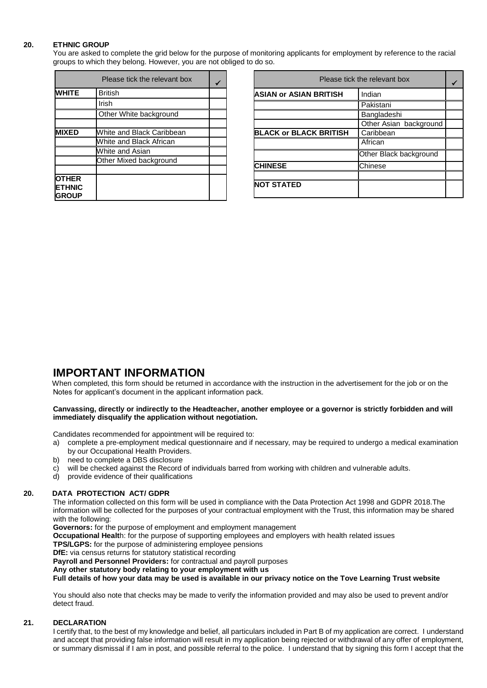### **20. ETHNIC GROUP**

You are asked to complete the grid below for the purpose of monitoring applicants for employment by reference to the racial groups to which they belong. However, you are not obliged to do so.

|                                                | Please tick the relevant box |  |
|------------------------------------------------|------------------------------|--|
| <b>WHITE</b>                                   | <b>British</b>               |  |
|                                                | Irish                        |  |
|                                                | Other White background       |  |
|                                                |                              |  |
| <b>MIXED</b>                                   | White and Black Caribbean    |  |
|                                                | White and Black African      |  |
|                                                | White and Asian              |  |
|                                                | Other Mixed background       |  |
|                                                |                              |  |
| <b>OTHER</b><br><b>ETHNIC</b><br><b>IGROUP</b> |                              |  |

| Please tick the relevant box  |                        |  |
|-------------------------------|------------------------|--|
| <b>ASIAN or ASIAN BRITISH</b> | Indian                 |  |
|                               | Pakistani              |  |
|                               | Bangladeshi            |  |
|                               | Other Asian background |  |
| <b>BLACK or BLACK BRITISH</b> | Caribbean              |  |
|                               | African                |  |
|                               | Other Black background |  |
| <b>CHINESE</b>                | Chinese                |  |
|                               |                        |  |
| <b>NOT STATED</b>             |                        |  |

## **IMPORTANT INFORMATION**

 When completed, this form should be returned in accordance with the instruction in the advertisement for the job or on the Notes for applicant's document in the applicant information pack.

#### **Canvassing, directly or indirectly to the Headteacher, another employee or a governor is strictly forbidden and will immediately disqualify the application without negotiation.**

Candidates recommended for appointment will be required to:

- a) complete a pre-employment medical questionnaire and if necessary, may be required to undergo a medical examination by our Occupational Health Providers.
- b) need to complete a DBS disclosure<br>c) will be checked against the Record
- will be checked against the Record of individuals barred from working with children and vulnerable adults.
- d) provide evidence of their qualifications

#### **20. DATA PROTECTION ACT/ GDPR**

The information collected on this form will be used in compliance with the Data Protection Act 1998 and GDPR 2018.The information will be collected for the purposes of your contractual employment with the Trust, this information may be shared with the following:

**Governors:** for the purpose of employment and employment management

**Occupational Healt**h: for the purpose of supporting employees and employers with health related issues

**TPS/LGPS:** for the purpose of administering employee pensions

**DfE:** via census returns for statutory statistical recording

**Payroll and Personnel Providers:** for contractual and payroll purposes

**Any other statutory body relating to your employment with us**

**Full details of how your data may be used is available in our privacy notice on the Tove Learning Trust website** 

You should also note that checks may be made to verify the information provided and may also be used to prevent and/or detect fraud.

### **21. DECLARATION**

I certify that, to the best of my knowledge and belief, all particulars included in Part B of my application are correct. I understand and accept that providing false information will result in my application being rejected or withdrawal of any offer of employment, or summary dismissal if I am in post, and possible referral to the police. I understand that by signing this form I accept that the